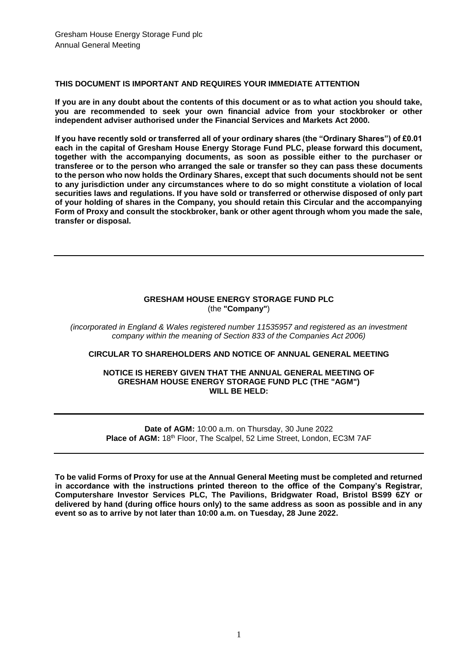# **THIS DOCUMENT IS IMPORTANT AND REQUIRES YOUR IMMEDIATE ATTENTION**

**If you are in any doubt about the contents of this document or as to what action you should take, you are recommended to seek your own financial advice from your stockbroker or other independent adviser authorised under the Financial Services and Markets Act 2000.**

**If you have recently sold or transferred all of your ordinary shares (the "Ordinary Shares") of £0.01 each in the capital of Gresham House Energy Storage Fund PLC, please forward this document, together with the accompanying documents, as soon as possible either to the purchaser or transferee or to the person who arranged the sale or transfer so they can pass these documents to the person who now holds the Ordinary Shares, except that such documents should not be sent to any jurisdiction under any circumstances where to do so might constitute a violation of local securities laws and regulations. If you have sold or transferred or otherwise disposed of only part of your holding of shares in the Company, you should retain this Circular and the accompanying Form of Proxy and consult the stockbroker, bank or other agent through whom you made the sale, transfer or disposal.**

### **GRESHAM HOUSE ENERGY STORAGE FUND PLC**  (the **"Company"**)

*(incorporated in England & Wales registered number 11535957 and registered as an investment company within the meaning of Section 833 of the Companies Act 2006)*

### **CIRCULAR TO SHAREHOLDERS AND NOTICE OF ANNUAL GENERAL MEETING**

#### **NOTICE IS HEREBY GIVEN THAT THE ANNUAL GENERAL MEETING OF GRESHAM HOUSE ENERGY STORAGE FUND PLC (THE "AGM") WILL BE HELD:**

**Date of AGM:** 10:00 a.m. on Thursday, 30 June 2022 Place of AGM: 18<sup>th</sup> Floor, The Scalpel, 52 Lime Street, London, EC3M 7AF

**To be valid Forms of Proxy for use at the Annual General Meeting must be completed and returned in accordance with the instructions printed thereon to the office of the Company's Registrar, Computershare Investor Services PLC, The Pavilions, Bridgwater Road, Bristol BS99 6ZY or delivered by hand (during office hours only) to the same address as soon as possible and in any event so as to arrive by not later than 10:00 a.m. on Tuesday, 28 June 2022.**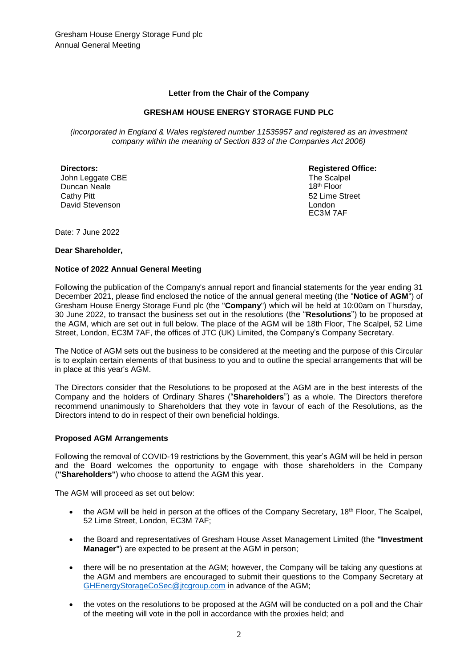# **Letter from the Chair of the Company**

# **GRESHAM HOUSE ENERGY STORAGE FUND PLC**

*(incorporated in England & Wales registered number 11535957 and registered as an investment company within the meaning of Section 833 of the Companies Act 2006)*

#### **Directors:** John Leggate CBE Duncan Neale Cathy Pitt David Stevenson

**Registered Office:** The Scalpel 18th Floor 52 Lime Street London EC3M 7AF

Date: 7 June 2022

#### **Dear Shareholder,**

#### **Notice of 2022 Annual General Meeting**

Following the publication of the Company's annual report and financial statements for the year ending 31 December 2021, please find enclosed the notice of the annual general meeting (the "**Notice of AGM**") of Gresham House Energy Storage Fund plc (the "**Company**") which will be held at 10:00am on Thursday, 30 June 2022, to transact the business set out in the resolutions (the "**Resolutions**") to be proposed at the AGM, which are set out in full below. The place of the AGM will be 18th Floor, The Scalpel, 52 Lime Street, London, EC3M 7AF, the offices of JTC (UK) Limited, the Company's Company Secretary.

The Notice of AGM sets out the business to be considered at the meeting and the purpose of this Circular is to explain certain elements of that business to you and to outline the special arrangements that will be in place at this year's AGM.

The Directors consider that the Resolutions to be proposed at the AGM are in the best interests of the Company and the holders of Ordinary Shares ("**Shareholders**") as a whole. The Directors therefore recommend unanimously to Shareholders that they vote in favour of each of the Resolutions, as the Directors intend to do in respect of their own beneficial holdings.

#### **Proposed AGM Arrangements**

Following the removal of COVID-19 restrictions by the Government, this year's AGM will be held in person and the Board welcomes the opportunity to engage with those shareholders in the Company (**"Shareholders"**) who choose to attend the AGM this year.

The AGM will proceed as set out below:

- the AGM will be held in person at the offices of the Company Secretary, 18th Floor, The Scalpel, 52 Lime Street, London, EC3M 7AF;
- the Board and representatives of Gresham House Asset Management Limited (the **"Investment Manager"**) are expected to be present at the AGM in person;
- there will be no presentation at the AGM; however, the Company will be taking any questions at the AGM and members are encouraged to submit their questions to the Company Secretary at [GHEnergyStorageCoSec@jtcgroup.com](mailto:GHEnergyStorageCoSec@jtcgroup.com) in advance of the AGM;
- the votes on the resolutions to be proposed at the AGM will be conducted on a poll and the Chair of the meeting will vote in the poll in accordance with the proxies held; and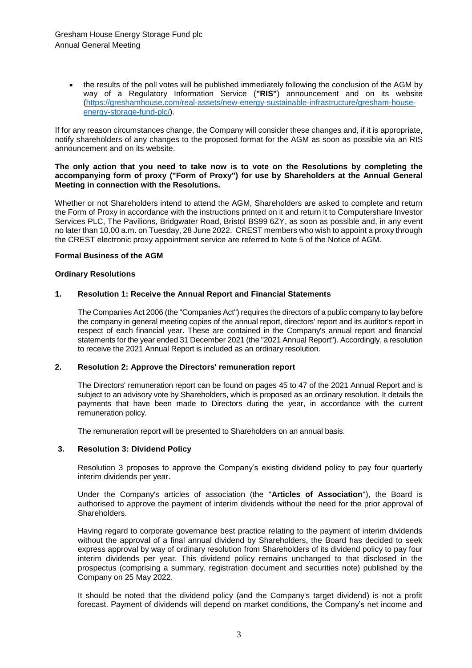the results of the poll votes will be published immediately following the conclusion of the AGM by way of a Regulatory Information Service (**"RIS"**) announcement and on its website [\(https://greshamhouse.com/real-assets/new-energy-sustainable-infrastructure/gresham-house](https://greshamhouse.com/real-assets/new-energy-sustainable-infrastructure/gresham-house-energy-storage-fund-plc/)[energy-storage-fund-plc/\)](https://greshamhouse.com/real-assets/new-energy-sustainable-infrastructure/gresham-house-energy-storage-fund-plc/).

If for any reason circumstances change, the Company will consider these changes and, if it is appropriate, notify shareholders of any changes to the proposed format for the AGM as soon as possible via an RIS announcement and on its website.

#### **The only action that you need to take now is to vote on the Resolutions by completing the accompanying form of proxy ("Form of Proxy") for use by Shareholders at the Annual General Meeting in connection with the Resolutions.**

Whether or not Shareholders intend to attend the AGM, Shareholders are asked to complete and return the Form of Proxy in accordance with the instructions printed on it and return it to Computershare Investor Services PLC, The Pavilions, Bridgwater Road, Bristol BS99 6ZY, as soon as possible and, in any event no later than 10.00 a.m. on Tuesday, 28 June 2022. CREST members who wish to appoint a proxy through the CREST electronic proxy appointment service are referred to Note 5 of the Notice of AGM.

## **Formal Business of the AGM**

## **Ordinary Resolutions**

# **1. Resolution 1: Receive the Annual Report and Financial Statements**

The Companies Act 2006 (the "Companies Act") requires the directors of a public company to lay before the company in general meeting copies of the annual report, directors' report and its auditor's report in respect of each financial year. These are contained in the Company's annual report and financial statements for the year ended 31 December 2021 (the "2021 Annual Report"). Accordingly, a resolution to receive the 2021 Annual Report is included as an ordinary resolution.

#### **2. Resolution 2: Approve the Directors' remuneration report**

The Directors' remuneration report can be found on pages 45 to 47 of the 2021 Annual Report and is subject to an advisory vote by Shareholders, which is proposed as an ordinary resolution. It details the payments that have been made to Directors during the year, in accordance with the current remuneration policy.

The remuneration report will be presented to Shareholders on an annual basis.

# **3. Resolution 3: Dividend Policy**

Resolution 3 proposes to approve the Company's existing dividend policy to pay four quarterly interim dividends per year.

Under the Company's articles of association (the "**Articles of Association**"), the Board is authorised to approve the payment of interim dividends without the need for the prior approval of **Shareholders** 

Having regard to corporate governance best practice relating to the payment of interim dividends without the approval of a final annual dividend by Shareholders, the Board has decided to seek express approval by way of ordinary resolution from Shareholders of its dividend policy to pay four interim dividends per year. This dividend policy remains unchanged to that disclosed in the prospectus (comprising a summary, registration document and securities note) published by the Company on 25 May 2022.

It should be noted that the dividend policy (and the Company's target dividend) is not a profit forecast. Payment of dividends will depend on market conditions, the Company's net income and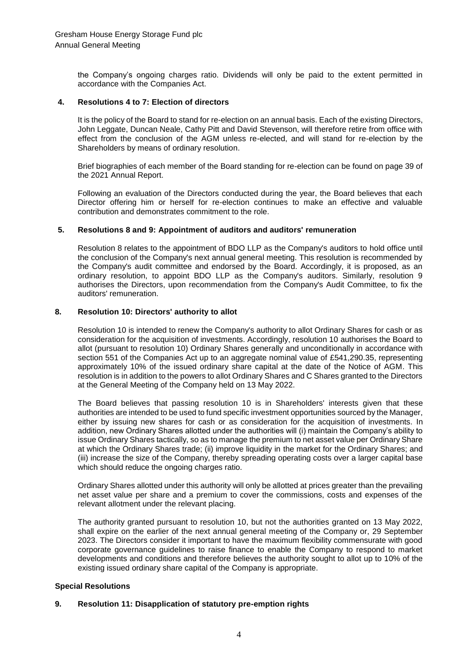the Company's ongoing charges ratio. Dividends will only be paid to the extent permitted in accordance with the Companies Act.

## **4. Resolutions 4 to 7: Election of directors**

It is the policy of the Board to stand for re-election on an annual basis. Each of the existing Directors, John Leggate, Duncan Neale, Cathy Pitt and David Stevenson, will therefore retire from office with effect from the conclusion of the AGM unless re-elected, and will stand for re-election by the Shareholders by means of ordinary resolution.

Brief biographies of each member of the Board standing for re-election can be found on page 39 of the 2021 Annual Report.

Following an evaluation of the Directors conducted during the year, the Board believes that each Director offering him or herself for re-election continues to make an effective and valuable contribution and demonstrates commitment to the role.

## **5. Resolutions 8 and 9: Appointment of auditors and auditors' remuneration**

Resolution 8 relates to the appointment of BDO LLP as the Company's auditors to hold office until the conclusion of the Company's next annual general meeting. This resolution is recommended by the Company's audit committee and endorsed by the Board. Accordingly, it is proposed, as an ordinary resolution, to appoint BDO LLP as the Company's auditors. Similarly, resolution 9 authorises the Directors, upon recommendation from the Company's Audit Committee, to fix the auditors' remuneration.

## **8. Resolution 10: Directors' authority to allot**

Resolution 10 is intended to renew the Company's authority to allot Ordinary Shares for cash or as consideration for the acquisition of investments. Accordingly, resolution 10 authorises the Board to allot (pursuant to resolution 10) Ordinary Shares generally and unconditionally in accordance with section 551 of the Companies Act up to an aggregate nominal value of £541,290.35, representing approximately 10% of the issued ordinary share capital at the date of the Notice of AGM. This resolution is in addition to the powers to allot Ordinary Shares and C Shares granted to the Directors at the General Meeting of the Company held on 13 May 2022.

The Board believes that passing resolution 10 is in Shareholders' interests given that these authorities are intended to be used to fund specific investment opportunities sourced by the Manager, either by issuing new shares for cash or as consideration for the acquisition of investments. In addition, new Ordinary Shares allotted under the authorities will (i) maintain the Company's ability to issue Ordinary Shares tactically, so as to manage the premium to net asset value per Ordinary Share at which the Ordinary Shares trade; (ii) improve liquidity in the market for the Ordinary Shares; and (iii) increase the size of the Company, thereby spreading operating costs over a larger capital base which should reduce the ongoing charges ratio.

Ordinary Shares allotted under this authority will only be allotted at prices greater than the prevailing net asset value per share and a premium to cover the commissions, costs and expenses of the relevant allotment under the relevant placing.

The authority granted pursuant to resolution 10, but not the authorities granted on 13 May 2022, shall expire on the earlier of the next annual general meeting of the Company or, 29 September 2023. The Directors consider it important to have the maximum flexibility commensurate with good corporate governance guidelines to raise finance to enable the Company to respond to market developments and conditions and therefore believes the authority sought to allot up to 10% of the existing issued ordinary share capital of the Company is appropriate.

### **Special Resolutions**

# **9. Resolution 11: Disapplication of statutory pre-emption rights**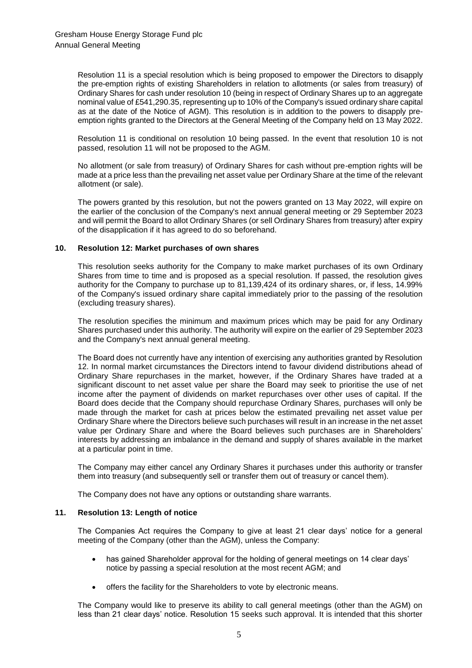Resolution 11 is a special resolution which is being proposed to empower the Directors to disapply the pre-emption rights of existing Shareholders in relation to allotments (or sales from treasury) of Ordinary Shares for cash under resolution 10 (being in respect of Ordinary Shares up to an aggregate nominal value of £541,290.35, representing up to 10% of the Company's issued ordinary share capital as at the date of the Notice of AGM). This resolution is in addition to the powers to disapply preemption rights granted to the Directors at the General Meeting of the Company held on 13 May 2022.

Resolution 11 is conditional on resolution 10 being passed. In the event that resolution 10 is not passed, resolution 11 will not be proposed to the AGM.

No allotment (or sale from treasury) of Ordinary Shares for cash without pre-emption rights will be made at a price less than the prevailing net asset value per Ordinary Share at the time of the relevant allotment (or sale).

The powers granted by this resolution, but not the powers granted on 13 May 2022, will expire on the earlier of the conclusion of the Company's next annual general meeting or 29 September 2023 and will permit the Board to allot Ordinary Shares (or sell Ordinary Shares from treasury) after expiry of the disapplication if it has agreed to do so beforehand.

# **10. Resolution 12: Market purchases of own shares**

This resolution seeks authority for the Company to make market purchases of its own Ordinary Shares from time to time and is proposed as a special resolution. If passed, the resolution gives authority for the Company to purchase up to 81,139,424 of its ordinary shares, or, if less, 14.99% of the Company's issued ordinary share capital immediately prior to the passing of the resolution (excluding treasury shares).

The resolution specifies the minimum and maximum prices which may be paid for any Ordinary Shares purchased under this authority. The authority will expire on the earlier of 29 September 2023 and the Company's next annual general meeting.

The Board does not currently have any intention of exercising any authorities granted by Resolution 12. In normal market circumstances the Directors intend to favour dividend distributions ahead of Ordinary Share repurchases in the market, however, if the Ordinary Shares have traded at a significant discount to net asset value per share the Board may seek to prioritise the use of net income after the payment of dividends on market repurchases over other uses of capital. If the Board does decide that the Company should repurchase Ordinary Shares, purchases will only be made through the market for cash at prices below the estimated prevailing net asset value per Ordinary Share where the Directors believe such purchases will result in an increase in the net asset value per Ordinary Share and where the Board believes such purchases are in Shareholders' interests by addressing an imbalance in the demand and supply of shares available in the market at a particular point in time.

The Company may either cancel any Ordinary Shares it purchases under this authority or transfer them into treasury (and subsequently sell or transfer them out of treasury or cancel them).

The Company does not have any options or outstanding share warrants.

#### **11. Resolution 13: Length of notice**

The Companies Act requires the Company to give at least 21 clear days' notice for a general meeting of the Company (other than the AGM), unless the Company:

- has gained Shareholder approval for the holding of general meetings on 14 clear days' notice by passing a special resolution at the most recent AGM; and
- offers the facility for the Shareholders to vote by electronic means.

The Company would like to preserve its ability to call general meetings (other than the AGM) on less than 21 clear days' notice. Resolution 15 seeks such approval. It is intended that this shorter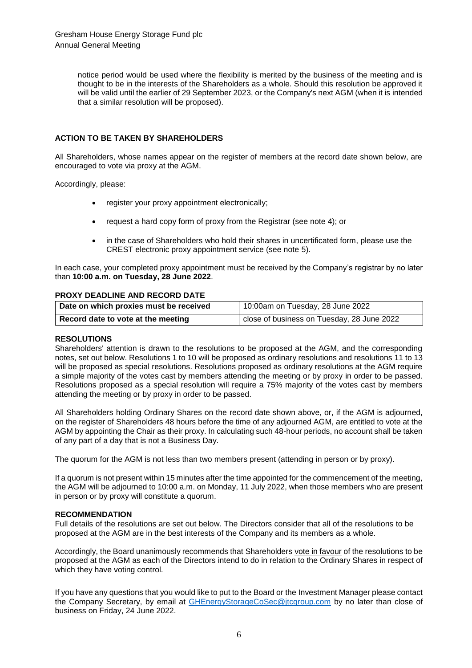notice period would be used where the flexibility is merited by the business of the meeting and is thought to be in the interests of the Shareholders as a whole. Should this resolution be approved it will be valid until the earlier of 29 September 2023, or the Company's next AGM (when it is intended that a similar resolution will be proposed).

# **ACTION TO BE TAKEN BY SHAREHOLDERS**

All Shareholders, whose names appear on the register of members at the record date shown below, are encouraged to vote via proxy at the AGM.

Accordingly, please:

- register your proxy appointment electronically;
- request a hard copy form of proxy from the Registrar (see note 4); or
- in the case of Shareholders who hold their shares in uncertificated form, please use the CREST electronic proxy appointment service (see note 5).

In each case, your completed proxy appointment must be received by the Company's registrar by no later than **10:00 a.m. on Tuesday, 28 June 2022**.

# **PROXY DEADLINE AND RECORD DATE**

| Date on which proxies must be received | 10:00am on Tuesday, 28 June 2022           |
|----------------------------------------|--------------------------------------------|
| Record date to vote at the meeting     | close of business on Tuesday, 28 June 2022 |

# **RESOLUTIONS**

Shareholders' attention is drawn to the resolutions to be proposed at the AGM, and the corresponding notes, set out below. Resolutions 1 to 10 will be proposed as ordinary resolutions and resolutions 11 to 13 will be proposed as special resolutions. Resolutions proposed as ordinary resolutions at the AGM require a simple majority of the votes cast by members attending the meeting or by proxy in order to be passed. Resolutions proposed as a special resolution will require a 75% majority of the votes cast by members attending the meeting or by proxy in order to be passed.

All Shareholders holding Ordinary Shares on the record date shown above, or, if the AGM is adjourned, on the register of Shareholders 48 hours before the time of any adjourned AGM, are entitled to vote at the AGM by appointing the Chair as their proxy. In calculating such 48-hour periods, no account shall be taken of any part of a day that is not a Business Day.

The quorum for the AGM is not less than two members present (attending in person or by proxy).

If a quorum is not present within 15 minutes after the time appointed for the commencement of the meeting, the AGM will be adjourned to 10:00 a.m. on Monday, 11 July 2022, when those members who are present in person or by proxy will constitute a quorum.

#### **RECOMMENDATION**

Full details of the resolutions are set out below. The Directors consider that all of the resolutions to be proposed at the AGM are in the best interests of the Company and its members as a whole.

Accordingly, the Board unanimously recommends that Shareholders vote in favour of the resolutions to be proposed at the AGM as each of the Directors intend to do in relation to the Ordinary Shares in respect of which they have voting control.

If you have any questions that you would like to put to the Board or the Investment Manager please contact the Company Secretary, by email at GHEnergyStorageCoSec@jtcgroup.com by no later than close of business on Friday, 24 June 2022.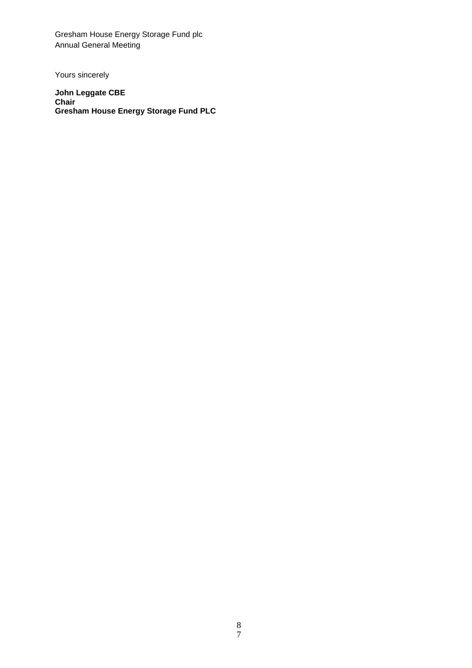Gresham House Energy Storage Fund plc Annual General Meeting

Yours sincerely

**John Leggate CBE Chair Gresham House Energy Storage Fund PLC**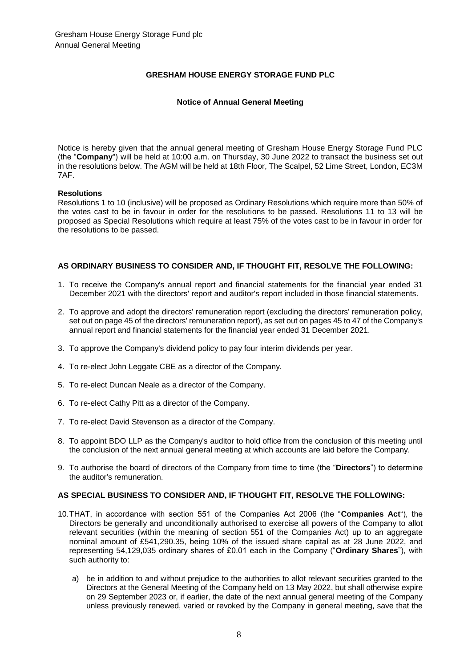## **GRESHAM HOUSE ENERGY STORAGE FUND PLC**

#### **Notice of Annual General Meeting**

Notice is hereby given that the annual general meeting of Gresham House Energy Storage Fund PLC (the "**Company**") will be held at 10:00 a.m. on Thursday, 30 June 2022 to transact the business set out in the resolutions below. The AGM will be held at 18th Floor, The Scalpel, 52 Lime Street, London, EC3M 7AF.

#### **Resolutions**

Resolutions 1 to 10 (inclusive) will be proposed as Ordinary Resolutions which require more than 50% of the votes cast to be in favour in order for the resolutions to be passed. Resolutions 11 to 13 will be proposed as Special Resolutions which require at least 75% of the votes cast to be in favour in order for the resolutions to be passed.

## **AS ORDINARY BUSINESS TO CONSIDER AND, IF THOUGHT FIT, RESOLVE THE FOLLOWING:**

- 1. To receive the Company's annual report and financial statements for the financial year ended 31 December 2021 with the directors' report and auditor's report included in those financial statements.
- 2. To approve and adopt the directors' remuneration report (excluding the directors' remuneration policy, set out on page 45 of the directors' remuneration report), as set out on pages 45 to 47 of the Company's annual report and financial statements for the financial year ended 31 December 2021.
- 3. To approve the Company's dividend policy to pay four interim dividends per year.
- 4. To re-elect John Leggate CBE as a director of the Company.
- 5. To re-elect Duncan Neale as a director of the Company.
- 6. To re-elect Cathy Pitt as a director of the Company.
- 7. To re-elect David Stevenson as a director of the Company.
- 8. To appoint BDO LLP as the Company's auditor to hold office from the conclusion of this meeting until the conclusion of the next annual general meeting at which accounts are laid before the Company.
- 9. To authorise the board of directors of the Company from time to time (the "**Directors**") to determine the auditor's remuneration.

#### **AS SPECIAL BUSINESS TO CONSIDER AND, IF THOUGHT FIT, RESOLVE THE FOLLOWING:**

- 10.THAT, in accordance with section 551 of the Companies Act 2006 (the "**Companies Act**"), the Directors be generally and unconditionally authorised to exercise all powers of the Company to allot relevant securities (within the meaning of section 551 of the Companies Act) up to an aggregate nominal amount of £541,290.35, being 10% of the issued share capital as at 28 June 2022, and representing 54,129,035 ordinary shares of £0.01 each in the Company ("**Ordinary Shares**"), with such authority to:
	- a) be in addition to and without prejudice to the authorities to allot relevant securities granted to the Directors at the General Meeting of the Company held on 13 May 2022, but shall otherwise expire on 29 September 2023 or, if earlier, the date of the next annual general meeting of the Company unless previously renewed, varied or revoked by the Company in general meeting, save that the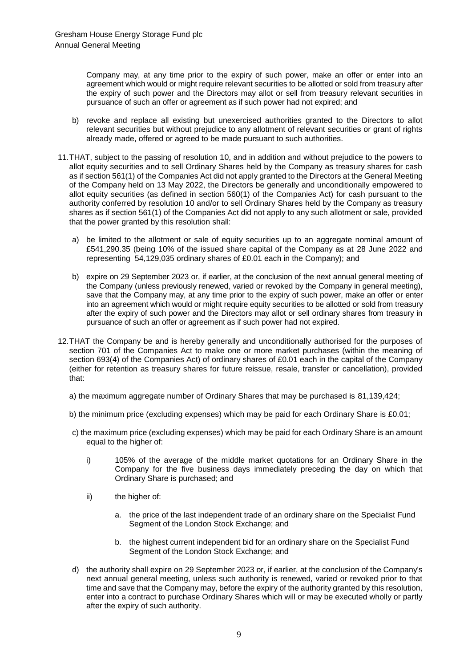Company may, at any time prior to the expiry of such power, make an offer or enter into an agreement which would or might require relevant securities to be allotted or sold from treasury after the expiry of such power and the Directors may allot or sell from treasury relevant securities in pursuance of such an offer or agreement as if such power had not expired; and

- b) revoke and replace all existing but unexercised authorities granted to the Directors to allot relevant securities but without prejudice to any allotment of relevant securities or grant of rights already made, offered or agreed to be made pursuant to such authorities.
- 11.THAT, subject to the passing of resolution 10, and in addition and without prejudice to the powers to allot equity securities and to sell Ordinary Shares held by the Company as treasury shares for cash as if section 561(1) of the Companies Act did not apply granted to the Directors at the General Meeting of the Company held on 13 May 2022, the Directors be generally and unconditionally empowered to allot equity securities (as defined in section 560(1) of the Companies Act) for cash pursuant to the authority conferred by resolution 10 and/or to sell Ordinary Shares held by the Company as treasury shares as if section 561(1) of the Companies Act did not apply to any such allotment or sale, provided that the power granted by this resolution shall:
	- a) be limited to the allotment or sale of equity securities up to an aggregate nominal amount of £541,290.35 (being 10% of the issued share capital of the Company as at 28 June 2022 and representing 54,129,035 ordinary shares of £0.01 each in the Company); and
	- b) expire on 29 September 2023 or, if earlier, at the conclusion of the next annual general meeting of the Company (unless previously renewed, varied or revoked by the Company in general meeting), save that the Company may, at any time prior to the expiry of such power, make an offer or enter into an agreement which would or might require equity securities to be allotted or sold from treasury after the expiry of such power and the Directors may allot or sell ordinary shares from treasury in pursuance of such an offer or agreement as if such power had not expired.
- 12.THAT the Company be and is hereby generally and unconditionally authorised for the purposes of section 701 of the Companies Act to make one or more market purchases (within the meaning of section 693(4) of the Companies Act) of ordinary shares of £0.01 each in the capital of the Company (either for retention as treasury shares for future reissue, resale, transfer or cancellation), provided that:
	- a) the maximum aggregate number of Ordinary Shares that may be purchased is 81,139,424;
	- b) the minimum price (excluding expenses) which may be paid for each Ordinary Share is £0.01;
	- c) the maximum price (excluding expenses) which may be paid for each Ordinary Share is an amount equal to the higher of:
		- i) 105% of the average of the middle market quotations for an Ordinary Share in the Company for the five business days immediately preceding the day on which that Ordinary Share is purchased; and
		- ii) the higher of:
			- a. the price of the last independent trade of an ordinary share on the Specialist Fund Segment of the London Stock Exchange; and
			- b. the highest current independent bid for an ordinary share on the Specialist Fund Segment of the London Stock Exchange; and
	- d) the authority shall expire on 29 September 2023 or, if earlier, at the conclusion of the Company's next annual general meeting, unless such authority is renewed, varied or revoked prior to that time and save that the Company may, before the expiry of the authority granted by this resolution, enter into a contract to purchase Ordinary Shares which will or may be executed wholly or partly after the expiry of such authority.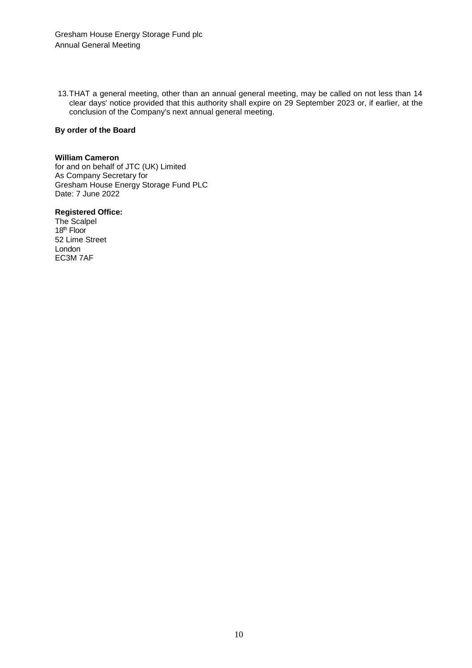13.THAT a general meeting, other than an annual general meeting, may be called on not less than 14 clear days' notice provided that this authority shall expire on 29 September 2023 or, if earlier, at the conclusion of the Company's next annual general meeting.

# **By order of the Board**

#### **William Cameron**

for and on behalf of JTC (UK) Limited As Company Secretary for Gresham House Energy Storage Fund PLC Date: 7 June 2022

#### **Registered Office:**

The Scalpel 18<sup>th</sup> Floor 52 Lime Street London EC3M 7AF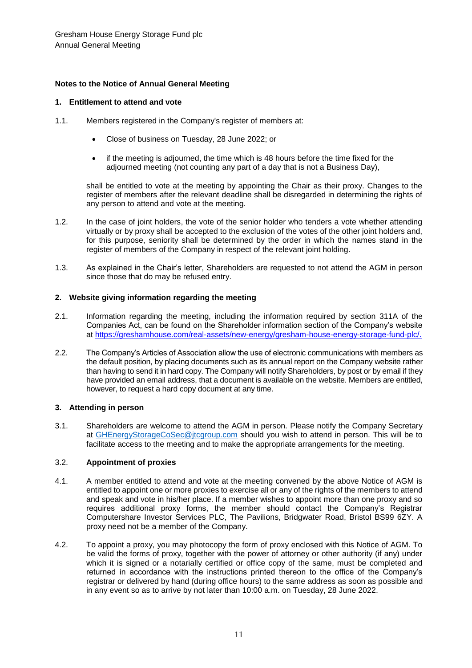# **Notes to the Notice of Annual General Meeting**

## **1. Entitlement to attend and vote**

- 1.1. Members registered in the Company's register of members at:
	- Close of business on Tuesday, 28 June 2022; or
	- if the meeting is adjourned, the time which is 48 hours before the time fixed for the adjourned meeting (not counting any part of a day that is not a Business Day),

shall be entitled to vote at the meeting by appointing the Chair as their proxy. Changes to the register of members after the relevant deadline shall be disregarded in determining the rights of any person to attend and vote at the meeting.

- 1.2. In the case of joint holders, the vote of the senior holder who tenders a vote whether attending virtually or by proxy shall be accepted to the exclusion of the votes of the other joint holders and, for this purpose, seniority shall be determined by the order in which the names stand in the register of members of the Company in respect of the relevant joint holding.
- 1.3. As explained in the Chair's letter, Shareholders are requested to not attend the AGM in person since those that do may be refused entry.

# **2. Website giving information regarding the meeting**

- 2.1. Information regarding the meeting, including the information required by section 311A of the Companies Act, can be found on the Shareholder information section of the Company's website at [https://greshamhouse.com/real-assets/new-energy/gresham-house-energy-storage-fund-plc/.](https://greshamhouse.com/real-assets/new-energy/gresham-house-energy-storage-fund-plc/)
- 2.2. The Company's Articles of Association allow the use of electronic communications with members as the default position, by placing documents such as its annual report on the Company website rather than having to send it in hard copy. The Company will notify Shareholders, by post or by email if they have provided an email address, that a document is available on the website. Members are entitled, however, to request a hard copy document at any time.

# **3. Attending in person**

3.1. Shareholders are welcome to attend the AGM in person. Please notify the Company Secretary at [GHEnergyStorageCoSec@jtcgroup.com](mailto:GHEnergyStorageCoSec@jtcgroup.com) should you wish to attend in person. This will be to facilitate access to the meeting and to make the appropriate arrangements for the meeting.

# 3.2. **Appointment of proxies**

- 4.1. A member entitled to attend and vote at the meeting convened by the above Notice of AGM is entitled to appoint one or more proxies to exercise all or any of the rights of the members to attend and speak and vote in his/her place. If a member wishes to appoint more than one proxy and so requires additional proxy forms, the member should contact the Company's Registrar Computershare Investor Services PLC, The Pavilions, Bridgwater Road, Bristol BS99 6ZY. A proxy need not be a member of the Company.
- 4.2. To appoint a proxy, you may photocopy the form of proxy enclosed with this Notice of AGM. To be valid the forms of proxy, together with the power of attorney or other authority (if any) under which it is signed or a notarially certified or office copy of the same, must be completed and returned in accordance with the instructions printed thereon to the office of the Company's registrar or delivered by hand (during office hours) to the same address as soon as possible and in any event so as to arrive by not later than 10:00 a.m. on Tuesday, 28 June 2022.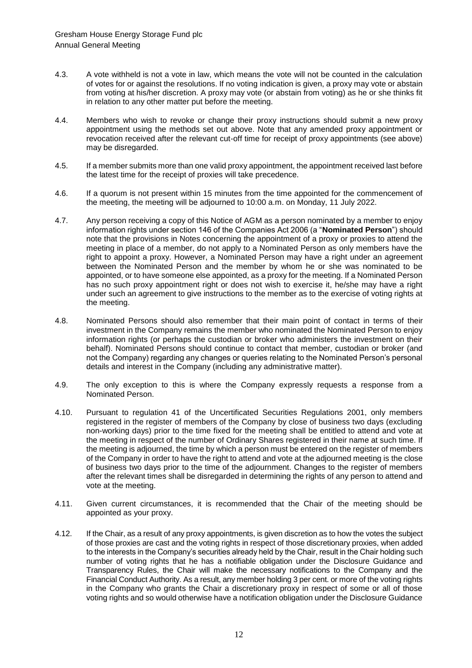- 4.3. A vote withheld is not a vote in law, which means the vote will not be counted in the calculation of votes for or against the resolutions. If no voting indication is given, a proxy may vote or abstain from voting at his/her discretion. A proxy may vote (or abstain from voting) as he or she thinks fit in relation to any other matter put before the meeting.
- 4.4. Members who wish to revoke or change their proxy instructions should submit a new proxy appointment using the methods set out above. Note that any amended proxy appointment or revocation received after the relevant cut-off time for receipt of proxy appointments (see above) may be disregarded.
- 4.5. If a member submits more than one valid proxy appointment, the appointment received last before the latest time for the receipt of proxies will take precedence.
- 4.6. If a quorum is not present within 15 minutes from the time appointed for the commencement of the meeting, the meeting will be adjourned to 10:00 a.m. on Monday, 11 July 2022.
- 4.7. Any person receiving a copy of this Notice of AGM as a person nominated by a member to enjoy information rights under section 146 of the Companies Act 2006 (a "**Nominated Person**") should note that the provisions in Notes concerning the appointment of a proxy or proxies to attend the meeting in place of a member, do not apply to a Nominated Person as only members have the right to appoint a proxy. However, a Nominated Person may have a right under an agreement between the Nominated Person and the member by whom he or she was nominated to be appointed, or to have someone else appointed, as a proxy for the meeting. If a Nominated Person has no such proxy appointment right or does not wish to exercise it, he/she may have a right under such an agreement to give instructions to the member as to the exercise of voting rights at the meeting.
- 4.8. Nominated Persons should also remember that their main point of contact in terms of their investment in the Company remains the member who nominated the Nominated Person to enjoy information rights (or perhaps the custodian or broker who administers the investment on their behalf). Nominated Persons should continue to contact that member, custodian or broker (and not the Company) regarding any changes or queries relating to the Nominated Person's personal details and interest in the Company (including any administrative matter).
- 4.9. The only exception to this is where the Company expressly requests a response from a Nominated Person.
- 4.10. Pursuant to regulation 41 of the Uncertificated Securities Regulations 2001, only members registered in the register of members of the Company by close of business two days (excluding non-working days) prior to the time fixed for the meeting shall be entitled to attend and vote at the meeting in respect of the number of Ordinary Shares registered in their name at such time. If the meeting is adjourned, the time by which a person must be entered on the register of members of the Company in order to have the right to attend and vote at the adjourned meeting is the close of business two days prior to the time of the adjournment. Changes to the register of members after the relevant times shall be disregarded in determining the rights of any person to attend and vote at the meeting.
- 4.11. Given current circumstances, it is recommended that the Chair of the meeting should be appointed as your proxy.
- 4.12. If the Chair, as a result of any proxy appointments, is given discretion as to how the votes the subject of those proxies are cast and the voting rights in respect of those discretionary proxies, when added to the interests in the Company's securities already held by the Chair, result in the Chair holding such number of voting rights that he has a notifiable obligation under the Disclosure Guidance and Transparency Rules, the Chair will make the necessary notifications to the Company and the Financial Conduct Authority. As a result, any member holding 3 per cent. or more of the voting rights in the Company who grants the Chair a discretionary proxy in respect of some or all of those voting rights and so would otherwise have a notification obligation under the Disclosure Guidance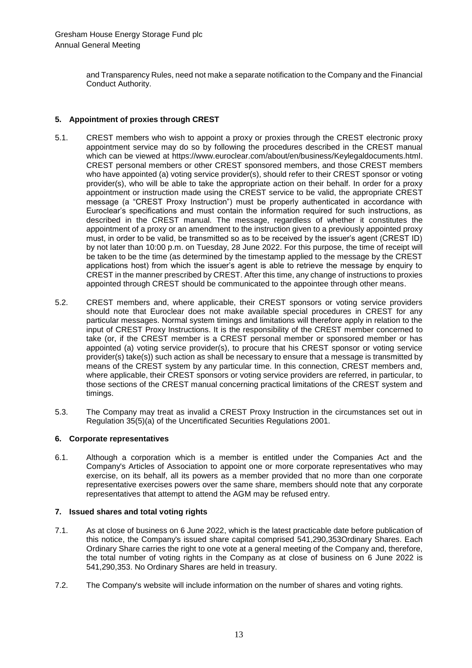and Transparency Rules, need not make a separate notification to the Company and the Financial Conduct Authority.

# **5. Appointment of proxies through CREST**

- 5.1. CREST members who wish to appoint a proxy or proxies through the CREST electronic proxy appointment service may do so by following the procedures described in the CREST manual which can be viewed at https://www.euroclear.com/about/en/business/Keylegaldocuments.html. CREST personal members or other CREST sponsored members, and those CREST members who have appointed (a) voting service provider(s), should refer to their CREST sponsor or voting provider(s), who will be able to take the appropriate action on their behalf. In order for a proxy appointment or instruction made using the CREST service to be valid, the appropriate CREST message (a "CREST Proxy Instruction") must be properly authenticated in accordance with Euroclear's specifications and must contain the information required for such instructions, as described in the CREST manual. The message, regardless of whether it constitutes the appointment of a proxy or an amendment to the instruction given to a previously appointed proxy must, in order to be valid, be transmitted so as to be received by the issuer's agent (CREST ID) by not later than 10:00 p.m. on Tuesday, 28 June 2022. For this purpose, the time of receipt will be taken to be the time (as determined by the timestamp applied to the message by the CREST applications host) from which the issuer's agent is able to retrieve the message by enquiry to CREST in the manner prescribed by CREST. After this time, any change of instructions to proxies appointed through CREST should be communicated to the appointee through other means.
- 5.2. CREST members and, where applicable, their CREST sponsors or voting service providers should note that Euroclear does not make available special procedures in CREST for any particular messages. Normal system timings and limitations will therefore apply in relation to the input of CREST Proxy Instructions. It is the responsibility of the CREST member concerned to take (or, if the CREST member is a CREST personal member or sponsored member or has appointed (a) voting service provider(s), to procure that his CREST sponsor or voting service provider(s) take(s)) such action as shall be necessary to ensure that a message is transmitted by means of the CREST system by any particular time. In this connection, CREST members and, where applicable, their CREST sponsors or voting service providers are referred, in particular, to those sections of the CREST manual concerning practical limitations of the CREST system and timings.
- 5.3. The Company may treat as invalid a CREST Proxy Instruction in the circumstances set out in Regulation 35(5)(a) of the Uncertificated Securities Regulations 2001.

# **6. Corporate representatives**

6.1. Although a corporation which is a member is entitled under the Companies Act and the Company's Articles of Association to appoint one or more corporate representatives who may exercise, on its behalf, all its powers as a member provided that no more than one corporate representative exercises powers over the same share, members should note that any corporate representatives that attempt to attend the AGM may be refused entry.

# **7. Issued shares and total voting rights**

- 7.1. As at close of business on 6 June 2022, which is the latest practicable date before publication of this notice, the Company's issued share capital comprised 541,290,353Ordinary Shares. Each Ordinary Share carries the right to one vote at a general meeting of the Company and, therefore, the total number of voting rights in the Company as at close of business on 6 June 2022 is 541,290,353. No Ordinary Shares are held in treasury.
- 7.2. The Company's website will include information on the number of shares and voting rights.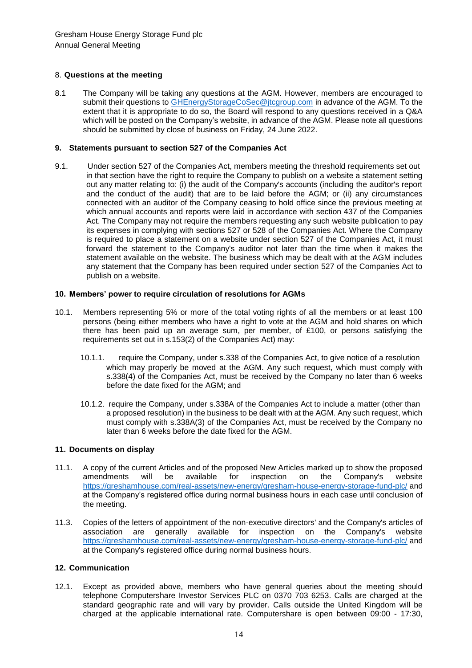# 8. **Questions at the meeting**

8.1 The Company will be taking any questions at the AGM. However, members are encouraged to submit their questions to GHEnergyStorageCoSec@jtcgroup.com in advance of the AGM. To the extent that it is appropriate to do so, the Board will respond to any questions received in a Q&A which will be posted on the Company's website, in advance of the AGM. Please note all questions should be submitted by close of business on Friday, 24 June 2022.

## **9. Statements pursuant to section 527 of the Companies Act**

9.1. Under section 527 of the Companies Act, members meeting the threshold requirements set out in that section have the right to require the Company to publish on a website a statement setting out any matter relating to: (i) the audit of the Company's accounts (including the auditor's report and the conduct of the audit) that are to be laid before the AGM; or (ii) any circumstances connected with an auditor of the Company ceasing to hold office since the previous meeting at which annual accounts and reports were laid in accordance with section 437 of the Companies Act. The Company may not require the members requesting any such website publication to pay its expenses in complying with sections 527 or 528 of the Companies Act. Where the Company is required to place a statement on a website under section 527 of the Companies Act, it must forward the statement to the Company's auditor not later than the time when it makes the statement available on the website. The business which may be dealt with at the AGM includes any statement that the Company has been required under section 527 of the Companies Act to publish on a website.

## **10. Members' power to require circulation of resolutions for AGMs**

- 10.1. Members representing 5% or more of the total voting rights of all the members or at least 100 persons (being either members who have a right to vote at the AGM and hold shares on which there has been paid up an average sum, per member, of £100, or persons satisfying the requirements set out in s.153(2) of the Companies Act) may:
	- 10.1.1. require the Company, under s.338 of the Companies Act, to give notice of a resolution which may properly be moved at the AGM. Any such request, which must comply with s.338(4) of the Companies Act, must be received by the Company no later than 6 weeks before the date fixed for the AGM; and
	- 10.1.2. require the Company, under s.338A of the Companies Act to include a matter (other than a proposed resolution) in the business to be dealt with at the AGM. Any such request, which must comply with s.338A(3) of the Companies Act, must be received by the Company no later than 6 weeks before the date fixed for the AGM.

# **11. Documents on display**

- 11.1. A copy of the current Articles and of the proposed New Articles marked up to show the proposed amendments will be available for inspection on the Company's website amendments will be available for inspection on the Company's website <https://greshamhouse.com/real-assets/new-energy/gresham-house-energy-storage-fund-plc/> and at the Company's registered office during normal business hours in each case until conclusion of the meeting.
- 11.3. Copies of the letters of appointment of the non-executive directors' and the Company's articles of association are generally available for inspection on the Company's website <https://greshamhouse.com/real-assets/new-energy/gresham-house-energy-storage-fund-plc/> and at the Company's registered office during normal business hours.

# **12. Communication**

12.1. Except as provided above, members who have general queries about the meeting should telephone Computershare Investor Services PLC on 0370 703 6253. Calls are charged at the standard geographic rate and will vary by provider. Calls outside the United Kingdom will be charged at the applicable international rate. Computershare is open between 09:00 - 17:30,